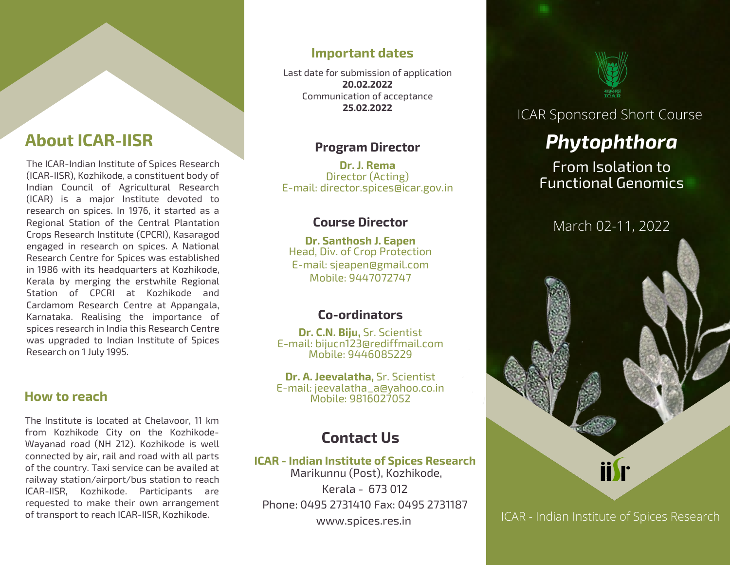# **About ICAR-IISR**

The ICAR-Indian Institute of Spices Research (ICAR-IISR), Kozhikode, a constituent body of Indian Council of Agricultural Research (ICAR) is a major Institute devoted to research on spices. In 1976, it started as a Regional Station of the Central Plantation Crops Research Institute (CPCRI), Kasaragod engaged in research on spices. A National Research Centre for Spices was established in 1986 with its headquarters at Kozhikode, Kerala by merging the erstwhile Regional Station of CPCRI at Kozhikode and Cardamom Research Centre at Appangala, Karnataka. Realising the importance of spices research in India this Research Centre was upgraded to Indian Institute of Spices Research on 1 July 1995.

### **How to reach**

The Institute is located at Chelavoor, 11 km from Kozhikode City on the Kozhikode-Wayanad road (NH 212). Kozhikode is well connected by air, rail and road with all parts of the country. Taxi service can be availed at railway station/airport/bus station to reach ICAR-IISR, Kozhikode. Participants are requested to make their own arrangement of transport to reach ICAR-IISR, Kozhikode.

### **Important dates**

Last date for submission of application **20.02.2022** Communication of acceptance **25.02.2022**

### **Program Director**

**Dr. J. Rema** Director (Acting) E-mail: director.spices@icar.gov.in

### **Course Director**

**Dr. Santhosh J. Eapen** Head, Div. of Crop Protection E-mail: sjeapen@gmail.com Mobile: 9447072747

### **Co-ordinators**

**Dr. C.N. Biju,** Sr. Scientist E-mail: bijucn123@rediffmail.com Mobile: 9446085229

**Dr. A. Jeevalatha,** Sr. Scientist E-mail: jeevalatha\_a@yahoo.co.in Mobile: 9816027052

## **Contact Us**

**ICAR - Indian Institute of Spices Research** Marikunnu (Post), Kozhikode, Kerala - 673 012 Phone: 0495 2731410 Fax: 0495 2731187 www.spices.res.in



## ICAR Sponsored Short Course

# *Phytophthora*

From Isolation to Functional Genomics



ICAR - Indian Institute of Spices Research